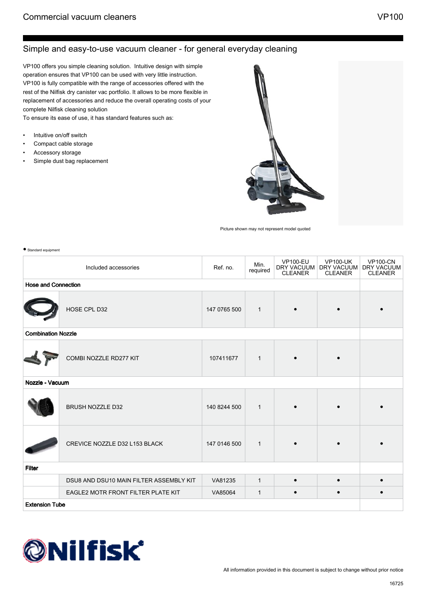## Simple and easy-to-use vacuum cleaner - for general everyday cleaning

VP100 offers you simple cleaning solution. Intuitive design with simple operation ensures that VP100 can be used with very little instruction. VP100 is fully compatible with the range of accessories offered with the rest of the Nilfisk dry canister vac portfolio. It allows to be more flexible in replacement of accessories and reduce the overall operating costs of your complete Nilfisk cleaning solution

To ensure its ease of use, it has standard features such as:

- Intuitive on/off switch
- Compact cable storage
- Accessory storage
- Simple dust bag replacement



Picture shown may not represent model quoted

| Standard equipment         |                                         |              |                  |                                                 |                                                 |                                                 |  |
|----------------------------|-----------------------------------------|--------------|------------------|-------------------------------------------------|-------------------------------------------------|-------------------------------------------------|--|
|                            | Included accessories                    | Ref. no.     | Min.<br>required | <b>VP100-EU</b><br>DRY VACUUM<br><b>CLEANER</b> | <b>VP100-UK</b><br>DRY VACUUM<br><b>CLEANER</b> | <b>VP100-CN</b><br>DRY VACUUM<br><b>CLEANER</b> |  |
| <b>Hose and Connection</b> |                                         |              |                  |                                                 |                                                 |                                                 |  |
|                            | HOSE CPL D32                            | 147 0765 500 | $\mathbf{1}$     |                                                 |                                                 |                                                 |  |
| <b>Combination Nozzle</b>  |                                         |              |                  |                                                 |                                                 |                                                 |  |
|                            | COMBI NOZZLE RD277 KIT                  | 107411677    | $\mathbf{1}$     |                                                 |                                                 |                                                 |  |
| Nozzle - Vacuum            |                                         |              |                  |                                                 |                                                 |                                                 |  |
|                            | <b>BRUSH NOZZLE D32</b>                 | 140 8244 500 | $\mathbf{1}$     |                                                 |                                                 |                                                 |  |
|                            | CREVICE NOZZLE D32 L153 BLACK           | 147 0146 500 | $\mathbf{1}$     |                                                 |                                                 |                                                 |  |
| <b>Filter</b>              |                                         |              |                  |                                                 |                                                 |                                                 |  |
|                            | DSU8 AND DSU10 MAIN FILTER ASSEMBLY KIT | VA81235      | $\mathbf{1}$     | $\bullet$                                       |                                                 |                                                 |  |
|                            | EAGLE2 MOTR FRONT FILTER PLATE KIT      | VA85064      | $\mathbf{1}$     | $\bullet$                                       |                                                 | $\bullet$                                       |  |
| <b>Extension Tube</b>      |                                         |              |                  |                                                 |                                                 |                                                 |  |

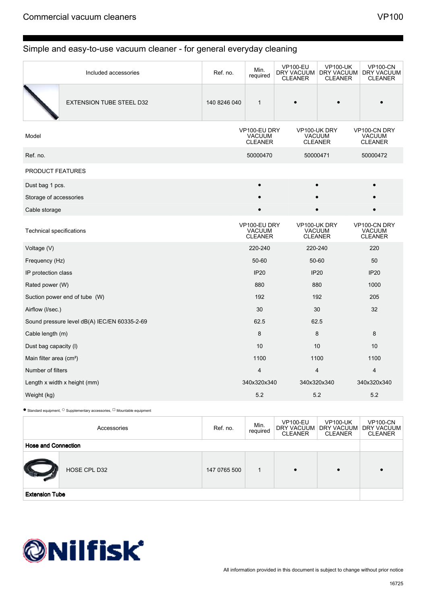## Simple and easy-to-use vacuum cleaner - for general everyday cleaning

|                                     | Included accessories                                                                        | Ref. no.     | Min.<br>required                                | <b>VP100-EU</b><br><b>DRY VACUUM</b><br><b>CLEANER</b> | <b>VP100-UK</b><br>DRY VACUUM<br><b>CLEANER</b> | <b>VP100-CN</b><br>DRY VACUUM<br><b>CLEANER</b> |
|-------------------------------------|---------------------------------------------------------------------------------------------|--------------|-------------------------------------------------|--------------------------------------------------------|-------------------------------------------------|-------------------------------------------------|
|                                     | <b>EXTENSION TUBE STEEL D32</b>                                                             | 140 8246 040 | $\mathbf{1}$                                    |                                                        |                                                 |                                                 |
| Model                               |                                                                                             |              | VP100-EU DRY<br><b>VACUUM</b><br><b>CLEANER</b> |                                                        | VP100-UK DRY<br><b>VACUUM</b><br><b>CLEANER</b> | VP100-CN DRY<br><b>VACUUM</b><br><b>CLEANER</b> |
| Ref. no.                            |                                                                                             |              | 50000470                                        |                                                        | 50000471                                        | 50000472                                        |
| <b>PRODUCT FEATURES</b>             |                                                                                             |              |                                                 |                                                        |                                                 |                                                 |
| Dust bag 1 pcs.                     |                                                                                             |              | $\bullet$                                       |                                                        |                                                 |                                                 |
| Storage of accessories              |                                                                                             |              |                                                 |                                                        |                                                 |                                                 |
| Cable storage                       |                                                                                             |              |                                                 |                                                        |                                                 |                                                 |
| <b>Technical specifications</b>     |                                                                                             |              | VP100-EU DRY<br><b>VACUUM</b><br><b>CLEANER</b> |                                                        | VP100-UK DRY<br><b>VACUUM</b><br><b>CLEANER</b> | VP100-CN DRY<br><b>VACUUM</b><br><b>CLEANER</b> |
| Voltage (V)                         |                                                                                             |              | 220-240                                         |                                                        | 220-240                                         | 220                                             |
| Frequency (Hz)                      |                                                                                             |              | 50-60                                           |                                                        | 50-60                                           | 50                                              |
| IP protection class                 |                                                                                             |              | <b>IP20</b>                                     |                                                        | <b>IP20</b>                                     | <b>IP20</b>                                     |
| Rated power (W)                     |                                                                                             |              | 880                                             |                                                        | 880                                             | 1000                                            |
| Suction power end of tube (W)       |                                                                                             |              | 192                                             |                                                        | 192                                             | 205                                             |
| Airflow (I/sec.)                    |                                                                                             |              | 30                                              |                                                        | 30                                              | 32                                              |
|                                     | Sound pressure level dB(A) IEC/EN 60335-2-69                                                |              | 62.5                                            |                                                        | 62.5                                            |                                                 |
| Cable length (m)                    |                                                                                             |              | 8                                               |                                                        | 8                                               | 8                                               |
| Dust bag capacity (I)               |                                                                                             |              | 10                                              |                                                        | 10                                              | 10                                              |
| Main filter area (cm <sup>2</sup> ) |                                                                                             |              | 1100                                            |                                                        | 1100                                            | 1100                                            |
| Number of filters                   |                                                                                             |              | $\overline{4}$                                  |                                                        | 4                                               | $\overline{4}$                                  |
| Length x width x height (mm)        |                                                                                             |              | 340x320x340                                     |                                                        | 340x320x340                                     | 340x320x340                                     |
| Weight (kg)                         |                                                                                             |              | 5.2                                             |                                                        | 5.2                                             | 5.2                                             |
|                                     | $\bullet$ Standard equipment, $\circ$ Supplementary accessories, $\Box$ Mountable equipment |              |                                                 |                                                        |                                                 |                                                 |

|                            | Accessories  | Ref. no.     | Min.<br>required | <b>VP100-EU</b><br>DRY VACUUM<br><b>CLEANER</b> | <b>VP100-UK</b><br>DRY VACUUM  <br><b>CLEANER</b> | <b>VP100-CN</b><br>DRY VACUUM<br><b>CLEANER</b> |
|----------------------------|--------------|--------------|------------------|-------------------------------------------------|---------------------------------------------------|-------------------------------------------------|
| <b>Hose and Connection</b> |              |              |                  |                                                 |                                                   |                                                 |
|                            | HOSE CPL D32 | 147 0765 500 |                  |                                                 | $\bullet$                                         |                                                 |
| <b>Extension Tube</b>      |              |              |                  |                                                 |                                                   |                                                 |